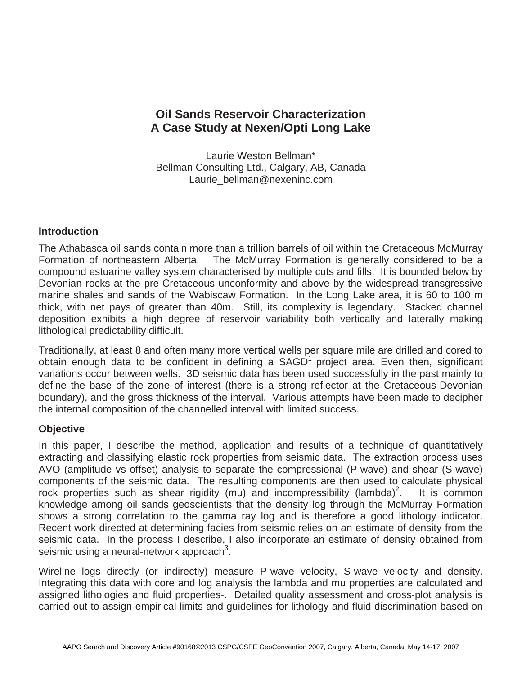## **Oil Sands Reservoir Characterization A Case Study at Nexen/Opti Long Lake**

Laurie Weston Bellman\* Bellman Consulting Ltd., Calgary, AB, Canada Laurie\_bellman@nexeninc.com

## **Introduction**

The Athabasca oil sands contain more than a trillion barrels of oil within the Cretaceous McMurray Formation of northeastern Alberta. The McMurray Formation is generally considered to be a compound estuarine valley system characterised by multiple cuts and fills. It is bounded below by Devonian rocks at the pre-Cretaceous unconformity and above by the widespread transgressive marine shales and sands of the Wabiscaw Formation. In the Long Lake area, it is 60 to 100 m thick, with net pays of greater than 40m. Still, its complexity is legendary. Stacked channel deposition exhibits a high degree of reservoir variability both vertically and laterally making lithological predictability difficult.

Traditionally, at least 8 and often many more vertical wells per square mile are drilled and cored to obtain enough data to be confident in defining a  $SAGD<sup>1</sup>$  project area. Even then, significant variations occur between wells. 3D seismic data has been used successfully in the past mainly to define the base of the zone of interest (there is a strong reflector at the Cretaceous-Devonian boundary), and the gross thickness of the interval. Various attempts have been made to decipher the internal composition of the channelled interval with limited success.

## **Objective**

In this paper, I describe the method, application and results of a technique of quantitatively extracting and classifying elastic rock properties from seismic data. The extraction process uses AVO (amplitude vs offset) analysis to separate the compressional (P-wave) and shear (S-wave) components of the seismic data. The resulting components are then used to calculate physical rock properties such as shear rigidity (mu) and incompressibility (lambda)<sup>2</sup>. . It is common knowledge among oil sands geoscientists that the density log through the McMurray Formation shows a strong correlation to the gamma ray log and is therefore a good lithology indicator. Recent work directed at determining facies from seismic relies on an estimate of density from the seismic data. In the process I describe, I also incorporate an estimate of density obtained from seismic using a neural-network approach<sup>3</sup>.

Wireline logs directly (or indirectly) measure P-wave velocity, S-wave velocity and density. Integrating this data with core and log analysis the lambda and mu properties are calculated and assigned lithologies and fluid properties-. Detailed quality assessment and cross-plot analysis is carried out to assign empirical limits and guidelines for lithology and fluid discrimination based on